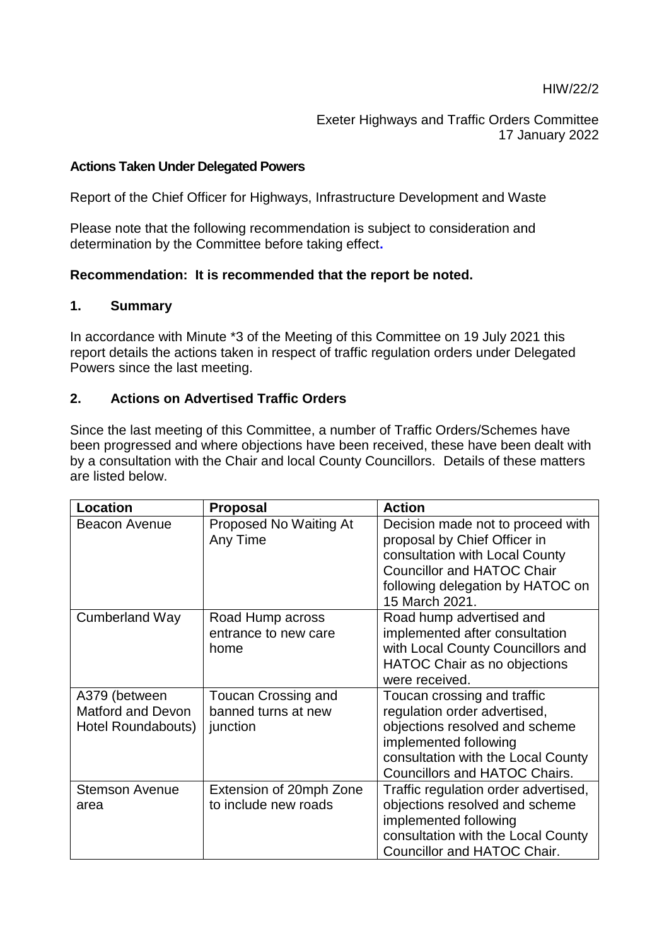Exeter Highways and Traffic Orders Committee 17 January 2022

### **Actions Taken Under Delegated Powers**

Report of the Chief Officer for Highways, Infrastructure Development and Waste

Please note that the following recommendation is subject to consideration and determination by the Committee before taking effect**.** 

### **Recommendation: It is recommended that the report be noted.**

#### **1. Summary**

In accordance with Minute \*3 of the Meeting of this Committee on 19 July 2021 this report details the actions taken in respect of traffic regulation orders under Delegated Powers since the last meeting.

### **2. Actions on Advertised Traffic Orders**

Since the last meeting of this Committee, a number of Traffic Orders/Schemes have been progressed and where objections have been received, these have been dealt with by a consultation with the Chair and local County Councillors. Details of these matters are listed below.

| <b>Location</b>          | <b>Proposal</b>            | <b>Action</b>                        |
|--------------------------|----------------------------|--------------------------------------|
| <b>Beacon Avenue</b>     | Proposed No Waiting At     | Decision made not to proceed with    |
|                          | Any Time                   | proposal by Chief Officer in         |
|                          |                            | consultation with Local County       |
|                          |                            | <b>Councillor and HATOC Chair</b>    |
|                          |                            | following delegation by HATOC on     |
|                          |                            | 15 March 2021.                       |
| <b>Cumberland Way</b>    | Road Hump across           | Road hump advertised and             |
|                          | entrance to new care       | implemented after consultation       |
|                          | home                       | with Local County Councillors and    |
|                          |                            | <b>HATOC Chair as no objections</b>  |
|                          |                            | were received.                       |
| A379 (between            | <b>Toucan Crossing and</b> | Toucan crossing and traffic          |
| <b>Matford and Devon</b> | banned turns at new        | regulation order advertised,         |
| Hotel Roundabouts)       | junction                   | objections resolved and scheme       |
|                          |                            | implemented following                |
|                          |                            | consultation with the Local County   |
|                          |                            | <b>Councillors and HATOC Chairs.</b> |
| <b>Stemson Avenue</b>    | Extension of 20mph Zone    | Traffic regulation order advertised, |
| area                     | to include new roads       | objections resolved and scheme       |
|                          |                            | implemented following                |
|                          |                            | consultation with the Local County   |
|                          |                            | Councillor and HATOC Chair.          |